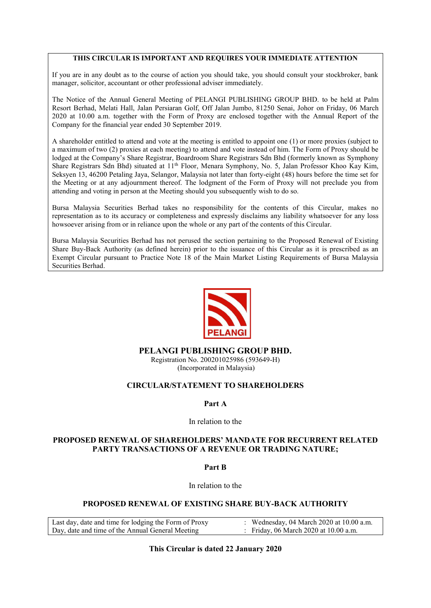# **THIS CIRCULAR IS IMPORTANT AND REQUIRES YOUR IMMEDIATE ATTENTION**

If you are in any doubt as to the course of action you should take, you should consult your stockbroker, bank manager, solicitor, accountant or other professional adviser immediately.

The Notice of the Annual General Meeting of PELANGI PUBLISHING GROUP BHD. to be held at Palm Resort Berhad, Melati Hall, Jalan Persiaran Golf, Off Jalan Jumbo, 81250 Senai, Johor on Friday, 06 March 2020 at 10.00 a.m. together with the Form of Proxy are enclosed together with the Annual Report of the Company for the financial year ended 30 September 2019.

A shareholder entitled to attend and vote at the meeting is entitled to appoint one (1) or more proxies (subject to a maximum of two (2) proxies at each meeting) to attend and vote instead of him. The Form of Proxy should be lodged at the Company's Share Registrar, Boardroom Share Registrars Sdn Bhd (formerly known as Symphony Share Registrars Sdn Bhd) situated at 11th Floor, Menara Symphony, No. 5, Jalan Professor Khoo Kay Kim, Seksyen 13, 46200 Petaling Jaya, Selangor, Malaysia not later than forty-eight (48) hours before the time set for the Meeting or at any adjournment thereof. The lodgment of the Form of Proxy will not preclude you from attending and voting in person at the Meeting should you subsequently wish to do so.

Bursa Malaysia Securities Berhad takes no responsibility for the contents of this Circular, makes no representation as to its accuracy or completeness and expressly disclaims any liability whatsoever for any loss howsoever arising from or in reliance upon the whole or any part of the contents of this Circular.

Bursa Malaysia Securities Berhad has not perused the section pertaining to the Proposed Renewal of Existing Share Buy-Back Authority (as defined herein) prior to the issuance of this Circular as it is prescribed as an Exempt Circular pursuant to Practice Note 18 of the Main Market Listing Requirements of Bursa Malaysia Securities Berhad.



# **PELANGI PUBLISHING GROUP BHD.**

Registration No. 200201025986 (593649-H) (Incorporated in Malaysia)

# **CIRCULAR/STATEMENT TO SHAREHOLDERS**

# **Part A**

#### In relation to the

# **PROPOSED RENEWAL OF SHAREHOLDERS' MANDATE FOR RECURRENT RELATED PARTY TRANSACTIONS OF A REVENUE OR TRADING NATURE;**

**Part B** 

In relation to the

# **PROPOSED RENEWAL OF EXISTING SHARE BUY-BACK AUTHORITY**

Last day, date and time for lodging the Form of Proxy : Wednesday, 04 March 2020 at 10.00 a.m.<br>Day, date and time of the Annual General Meeting : Friday, 06 March 2020 at 10.00 a.m. Day, date and time of the Annual General Meeting

**This Circular is dated 22 January 2020**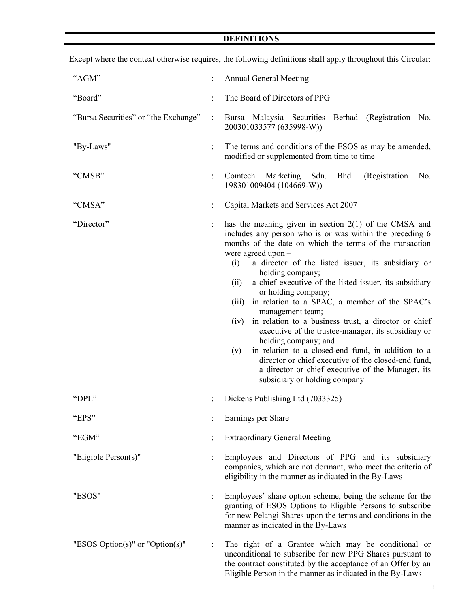# **DEFINITIONS**

| "AGM"                                |                      | <b>Annual General Meeting</b>                                                                                                                                                                                                                                                                                                                                                                                                                                                                                                                                                                                                                                                                                                                                                                                            |  |  |  |  |  |
|--------------------------------------|----------------------|--------------------------------------------------------------------------------------------------------------------------------------------------------------------------------------------------------------------------------------------------------------------------------------------------------------------------------------------------------------------------------------------------------------------------------------------------------------------------------------------------------------------------------------------------------------------------------------------------------------------------------------------------------------------------------------------------------------------------------------------------------------------------------------------------------------------------|--|--|--|--|--|
| "Board"                              |                      | The Board of Directors of PPG                                                                                                                                                                                                                                                                                                                                                                                                                                                                                                                                                                                                                                                                                                                                                                                            |  |  |  |  |  |
| "Bursa Securities" or "the Exchange" | $\ddot{\cdot}$       | Bursa Malaysia Securities Berhad (Registration No.<br>200301033577 (635998-W))                                                                                                                                                                                                                                                                                                                                                                                                                                                                                                                                                                                                                                                                                                                                           |  |  |  |  |  |
| "By-Laws"                            |                      | The terms and conditions of the ESOS as may be amended,<br>modified or supplemented from time to time                                                                                                                                                                                                                                                                                                                                                                                                                                                                                                                                                                                                                                                                                                                    |  |  |  |  |  |
| "CMSB"                               | $\ddot{\phantom{a}}$ | (Registration<br>Comtech Marketing Sdn.<br>Bhd.<br>No.<br>198301009404 (104669-W))                                                                                                                                                                                                                                                                                                                                                                                                                                                                                                                                                                                                                                                                                                                                       |  |  |  |  |  |
| "CMSA"                               | $\ddot{\cdot}$       | Capital Markets and Services Act 2007                                                                                                                                                                                                                                                                                                                                                                                                                                                                                                                                                                                                                                                                                                                                                                                    |  |  |  |  |  |
| "Director"                           |                      | has the meaning given in section $2(1)$ of the CMSA and<br>includes any person who is or was within the preceding 6<br>months of the date on which the terms of the transaction<br>were agreed upon $-$<br>a director of the listed issuer, its subsidiary or<br>(i)<br>holding company;<br>a chief executive of the listed issuer, its subsidiary<br>(ii)<br>or holding company;<br>in relation to a SPAC, a member of the SPAC's<br>(iii)<br>management team;<br>in relation to a business trust, a director or chief<br>(iv)<br>executive of the trustee-manager, its subsidiary or<br>holding company; and<br>in relation to a closed-end fund, in addition to a<br>(v)<br>director or chief executive of the closed-end fund,<br>a director or chief executive of the Manager, its<br>subsidiary or holding company |  |  |  |  |  |
| "DPL"                                |                      | Dickens Publishing Ltd (7033325)                                                                                                                                                                                                                                                                                                                                                                                                                                                                                                                                                                                                                                                                                                                                                                                         |  |  |  |  |  |
| "EPS"                                |                      | Earnings per Share                                                                                                                                                                                                                                                                                                                                                                                                                                                                                                                                                                                                                                                                                                                                                                                                       |  |  |  |  |  |
| "EGM"                                |                      | <b>Extraordinary General Meeting</b>                                                                                                                                                                                                                                                                                                                                                                                                                                                                                                                                                                                                                                                                                                                                                                                     |  |  |  |  |  |
| "Eligible Person(s)"                 | :                    | Employees and Directors of PPG and its subsidiary<br>companies, which are not dormant, who meet the criteria of<br>eligibility in the manner as indicated in the By-Laws                                                                                                                                                                                                                                                                                                                                                                                                                                                                                                                                                                                                                                                 |  |  |  |  |  |
| "ESOS"                               |                      | Employees' share option scheme, being the scheme for the<br>granting of ESOS Options to Eligible Persons to subscribe<br>for new Pelangi Shares upon the terms and conditions in the<br>manner as indicated in the By-Laws                                                                                                                                                                                                                                                                                                                                                                                                                                                                                                                                                                                               |  |  |  |  |  |
| "ESOS Option(s)" or "Option(s)"      | $\ddot{\cdot}$       | The right of a Grantee which may be conditional or<br>unconditional to subscribe for new PPG Shares pursuant to<br>the contract constituted by the acceptance of an Offer by an<br>Eligible Person in the manner as indicated in the By-Laws                                                                                                                                                                                                                                                                                                                                                                                                                                                                                                                                                                             |  |  |  |  |  |

Except where the context otherwise requires, the following definitions shall apply throughout this Circular: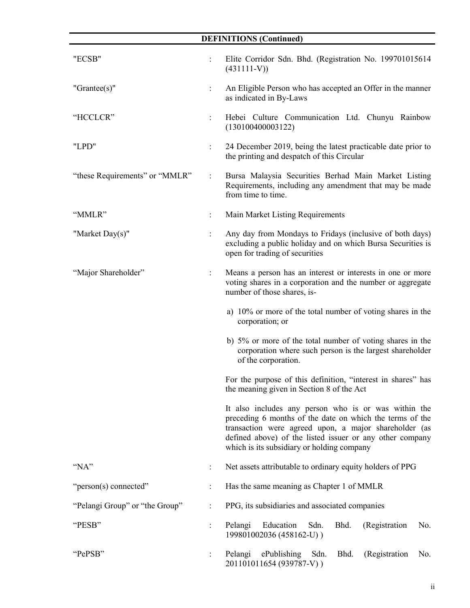# **DEFINITIONS (Continued)**

| "ECSB"                         |                           | Elite Corridor Sdn. Bhd. (Registration No. 199701015614<br>$(431111-V)$                                                                                                                                                                                                             |  |  |  |  |
|--------------------------------|---------------------------|-------------------------------------------------------------------------------------------------------------------------------------------------------------------------------------------------------------------------------------------------------------------------------------|--|--|--|--|
| "Grantee $(s)$ "               | $\ddot{\phantom{a}}$      | An Eligible Person who has accepted an Offer in the manner<br>as indicated in By-Laws                                                                                                                                                                                               |  |  |  |  |
| "HCCLCR"                       |                           | Hebei Culture Communication Ltd. Chunyu Rainbow<br>(130100400003122)                                                                                                                                                                                                                |  |  |  |  |
| "LPD"                          |                           | 24 December 2019, being the latest practicable date prior to<br>the printing and despatch of this Circular                                                                                                                                                                          |  |  |  |  |
| "these Requirements" or "MMLR" | $\mathbb{R}^{\mathbb{Z}}$ | Bursa Malaysia Securities Berhad Main Market Listing<br>Requirements, including any amendment that may be made<br>from time to time.                                                                                                                                                |  |  |  |  |
| "MMLR"                         |                           | Main Market Listing Requirements                                                                                                                                                                                                                                                    |  |  |  |  |
| "Market Day(s)"                |                           | Any day from Mondays to Fridays (inclusive of both days)<br>excluding a public holiday and on which Bursa Securities is<br>open for trading of securities                                                                                                                           |  |  |  |  |
| "Major Shareholder"            | $\ddot{\phantom{a}}$      | Means a person has an interest or interests in one or more<br>voting shares in a corporation and the number or aggregate<br>number of those shares, is-                                                                                                                             |  |  |  |  |
|                                |                           | a) 10% or more of the total number of voting shares in the<br>corporation; or                                                                                                                                                                                                       |  |  |  |  |
|                                |                           | b) 5% or more of the total number of voting shares in the<br>corporation where such person is the largest shareholder<br>of the corporation.                                                                                                                                        |  |  |  |  |
|                                |                           | For the purpose of this definition, "interest in shares" has<br>the meaning given in Section 8 of the Act                                                                                                                                                                           |  |  |  |  |
|                                |                           | It also includes any person who is or was within the<br>preceding 6 months of the date on which the terms of the<br>transaction were agreed upon, a major shareholder (as<br>defined above) of the listed issuer or any other company<br>which is its subsidiary or holding company |  |  |  |  |
| "NA"                           | $\ddot{\cdot}$            | Net assets attributable to ordinary equity holders of PPG                                                                                                                                                                                                                           |  |  |  |  |
| "person(s) connected"          | $\ddot{\cdot}$            | Has the same meaning as Chapter 1 of MMLR                                                                                                                                                                                                                                           |  |  |  |  |
| "Pelangi Group" or "the Group" |                           | PPG, its subsidiaries and associated companies                                                                                                                                                                                                                                      |  |  |  |  |
| "PESB"                         |                           | Pelangi Education<br>Sdn.<br>Bhd.<br>(Registration<br>No.<br>199801002036 (458162-U))                                                                                                                                                                                               |  |  |  |  |
| "PePSB"                        |                           | Pelangi ePublishing<br>Sdn.<br>Bhd.<br>(Registration<br>No.<br>201101011654 (939787-V))                                                                                                                                                                                             |  |  |  |  |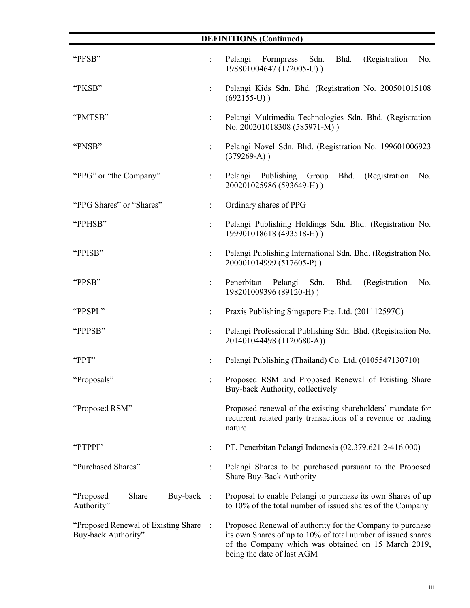|                                                             |                      | <b>DEFINITIONS (Continued)</b>                                                                                                                                                                                 |  |  |  |
|-------------------------------------------------------------|----------------------|----------------------------------------------------------------------------------------------------------------------------------------------------------------------------------------------------------------|--|--|--|
| "PFSB"                                                      | $\ddot{\cdot}$       | Sdn.<br>Bhd.<br>(Registration<br>Pelangi<br>Formpress<br>No.<br>198801004647 (172005-U))                                                                                                                       |  |  |  |
| "PKSB"                                                      | $\ddot{\phantom{a}}$ | Pelangi Kids Sdn. Bhd. (Registration No. 200501015108<br>$(692155-U)$ )                                                                                                                                        |  |  |  |
| "PMTSB"                                                     | $\ddot{\phantom{a}}$ | Pelangi Multimedia Technologies Sdn. Bhd. (Registration<br>No. 200201018308 (585971-M))                                                                                                                        |  |  |  |
| "PNSB"                                                      | $\ddot{\phantom{a}}$ | Pelangi Novel Sdn. Bhd. (Registration No. 199601006923<br>$(379269-A)$ )                                                                                                                                       |  |  |  |
| "PPG" or "the Company"                                      |                      | Pelangi Publishing Group<br>Bhd.<br>(Registration<br>No.<br>200201025986 (593649-H))                                                                                                                           |  |  |  |
| "PPG Shares" or "Shares"                                    | $\ddot{\phantom{a}}$ | Ordinary shares of PPG                                                                                                                                                                                         |  |  |  |
| "PPHSB"                                                     | $\ddot{\phantom{0}}$ | Pelangi Publishing Holdings Sdn. Bhd. (Registration No.<br>199901018618 (493518-H))                                                                                                                            |  |  |  |
| "PPISB"                                                     | $\ddot{\phantom{0}}$ | Pelangi Publishing International Sdn. Bhd. (Registration No.<br>200001014999 (517605-P))                                                                                                                       |  |  |  |
| "PPSB"                                                      | $\ddot{\phantom{a}}$ | Penerbitan<br>Pelangi Sdn.<br>Bhd.<br>(Registration)<br>No.<br>198201009396 (89120-H))                                                                                                                         |  |  |  |
| "PPSPL"                                                     | $\ddot{\phantom{a}}$ | Praxis Publishing Singapore Pte. Ltd. (201112597C)                                                                                                                                                             |  |  |  |
| "PPPSB"                                                     |                      | Pelangi Professional Publishing Sdn. Bhd. (Registration No.<br>201401044498 (1120680-A))                                                                                                                       |  |  |  |
| "PPT"                                                       |                      | Pelangi Publishing (Thailand) Co. Ltd. (0105547130710)                                                                                                                                                         |  |  |  |
| "Proposals"                                                 |                      | Proposed RSM and Proposed Renewal of Existing Share<br>Buy-back Authority, collectively                                                                                                                        |  |  |  |
| "Proposed RSM"                                              |                      | Proposed renewal of the existing shareholders' mandate for<br>recurrent related party transactions of a revenue or trading<br>nature                                                                           |  |  |  |
| "PTPPI"                                                     |                      | PT. Penerbitan Pelangi Indonesia (02.379.621.2-416.000)                                                                                                                                                        |  |  |  |
| "Purchased Shares"                                          |                      | Pelangi Shares to be purchased pursuant to the Proposed<br>Share Buy-Back Authority                                                                                                                            |  |  |  |
| "Proposed<br>Share<br>Buy-back<br>Authority"                | $\ddot{\cdot}$       | Proposal to enable Pelangi to purchase its own Shares of up<br>to 10% of the total number of issued shares of the Company                                                                                      |  |  |  |
| "Proposed Renewal of Existing Share"<br>Buy-back Authority" |                      | Proposed Renewal of authority for the Company to purchase<br>its own Shares of up to 10% of total number of issued shares<br>of the Company which was obtained on 15 March 2019,<br>being the date of last AGM |  |  |  |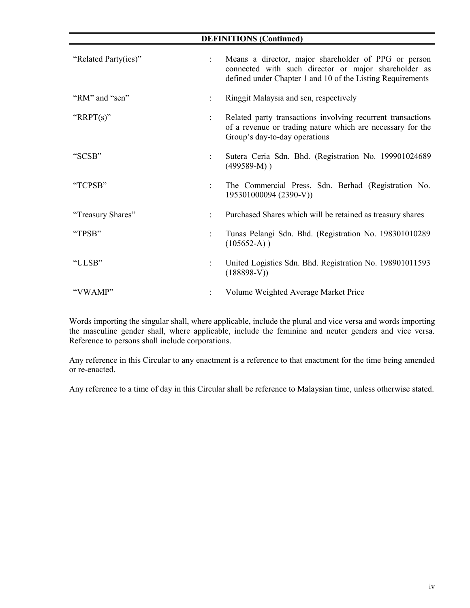| <b>DEFINITIONS (Continued)</b> |                      |                                                                                                                                                                            |  |  |  |
|--------------------------------|----------------------|----------------------------------------------------------------------------------------------------------------------------------------------------------------------------|--|--|--|
| "Related Party(ies)"           | $\mathbf{L}$         | Means a director, major shareholder of PPG or person<br>connected with such director or major shareholder as<br>defined under Chapter 1 and 10 of the Listing Requirements |  |  |  |
| "RM" and "sen"                 |                      | Ringgit Malaysia and sen, respectively                                                                                                                                     |  |  |  |
| " $RRPT(s)$ "                  | $\ddot{\phantom{a}}$ | Related party transactions involving recurrent transactions<br>of a revenue or trading nature which are necessary for the<br>Group's day-to-day operations                 |  |  |  |
| "SCSB"                         |                      | Sutera Ceria Sdn. Bhd. (Registration No. 199901024689<br>$(499589-M)$ )                                                                                                    |  |  |  |
| "TCPSB"                        |                      | The Commercial Press, Sdn. Berhad (Registration No.<br>195301000094 (2390-V))                                                                                              |  |  |  |
| "Treasury Shares"              |                      | Purchased Shares which will be retained as treasury shares                                                                                                                 |  |  |  |
| "TPSB"                         |                      | Tunas Pelangi Sdn. Bhd. (Registration No. 198301010289<br>$(105652-A)$ )                                                                                                   |  |  |  |
| "ULSB"                         |                      | United Logistics Sdn. Bhd. Registration No. 198901011593<br>$(188898-V)$                                                                                                   |  |  |  |
| "VWAMP"                        |                      | Volume Weighted Average Market Price                                                                                                                                       |  |  |  |

l,

Words importing the singular shall, where applicable, include the plural and vice versa and words importing the masculine gender shall, where applicable, include the feminine and neuter genders and vice versa. Reference to persons shall include corporations.

Any reference in this Circular to any enactment is a reference to that enactment for the time being amended or re-enacted.

Any reference to a time of day in this Circular shall be reference to Malaysian time, unless otherwise stated.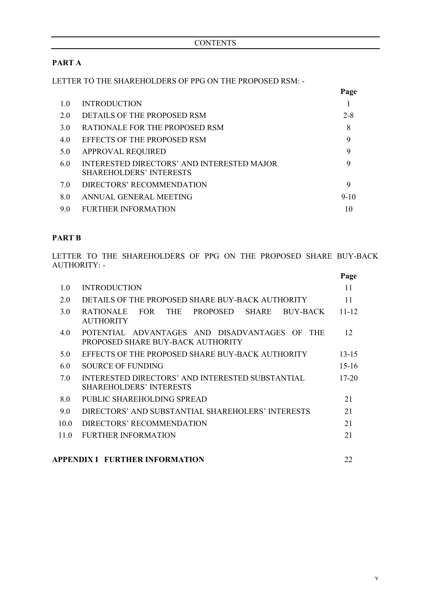# **PART A**

LETTER TO THE SHAREHOLDERS OF PPG ON THE PROPOSED RSM: -

|     |                                                                                     | Page    |
|-----|-------------------------------------------------------------------------------------|---------|
| 1.0 | <b>INTRODUCTION</b>                                                                 |         |
| 2.0 | DETAILS OF THE PROPOSED RSM                                                         | $2 - 8$ |
| 3.0 | RATIONALE FOR THE PROPOSED RSM                                                      | 8       |
| 4.0 | <b>EFFECTS OF THE PROPOSED RSM</b>                                                  | 9       |
| 5.0 | <b>APPROVAL REQUIRED</b>                                                            | 9       |
| 6.0 | <b>INTERESTED DIRECTORS' AND INTERESTED MAJOR</b><br><b>SHAREHOLDERS' INTERESTS</b> | 9       |
| 7.0 | DIRECTORS' RECOMMENDATION                                                           | 9       |
| 8.0 | ANNUAL GENERAL MEETING                                                              | $9-10$  |
| 9.0 | FURTHER INFORMATION                                                                 | 10      |

# **PART B**

LETTER TO THE SHAREHOLDERS OF PPG ON THE PROPOSED SHARE BUY-BACK AUTHORITY: -

|                   |                                                                                                   | Page      |
|-------------------|---------------------------------------------------------------------------------------------------|-----------|
| 1.0               | <b>INTRODUCTION</b>                                                                               | 11        |
| 2.0               | DETAILS OF THE PROPOSED SHARE BUY-BACK AUTHORITY                                                  | 11        |
| 3.0               | <b>FOR</b><br><b>THE</b><br>PROPOSED<br>BUY-BACK<br><b>RATIONALE</b><br>SHARE<br><b>AUTHORITY</b> | $11 - 12$ |
| 4.0               | POTENTIAL ADVANTAGES AND DISADVANTAGES OF<br><b>THE</b><br>PROPOSED SHARE BUY-BACK AUTHORITY      | 12        |
| 5.0               | EFFECTS OF THE PROPOSED SHARE BUY-BACK AUTHORITY                                                  | $13 - 15$ |
| 6.0               | <b>SOURCE OF FUNDING</b>                                                                          | $15-16$   |
| 7.0               | INTERESTED DIRECTORS' AND INTERESTED SUBSTANTIAL<br><b>SHAREHOLDERS' INTERESTS</b>                | $17-20$   |
| 8.0               | PUBLIC SHAREHOLDING SPREAD                                                                        | 21        |
| 9.0               | DIRECTORS' AND SUBSTANTIAL SHAREHOLERS' INTERESTS                                                 | 21        |
| 10.0 <sub>1</sub> | DIRECTORS' RECOMMENDATION                                                                         | 21        |
| 11.0              | <b>FURTHER INFORMATION</b>                                                                        | 21        |
|                   |                                                                                                   |           |

# **APPENDIX I FURTHER INFORMATION** 22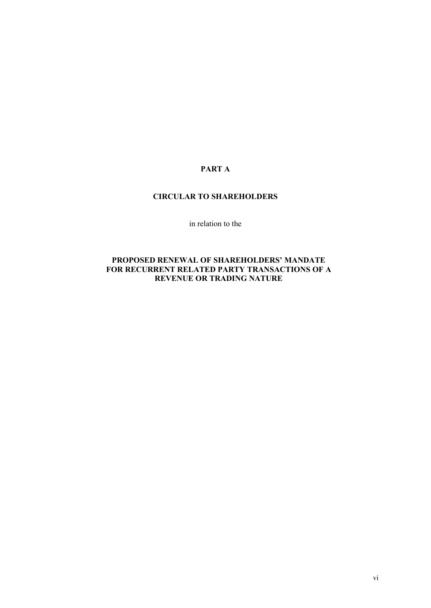# **PART A**

# **CIRCULAR TO SHAREHOLDERS**

in relation to the

# **PROPOSED RENEWAL OF SHAREHOLDERS' MANDATE FOR RECURRENT RELATED PARTY TRANSACTIONS OF A REVENUE OR TRADING NATURE**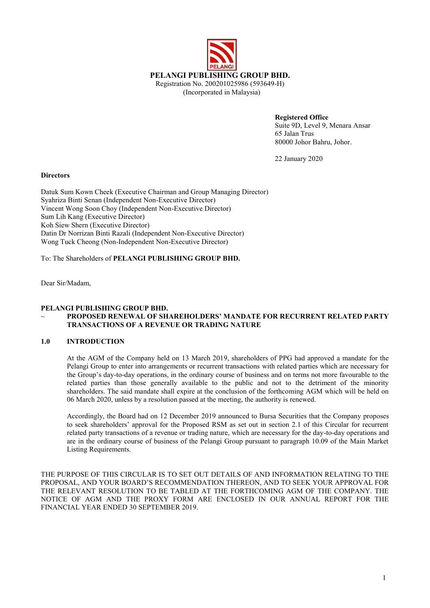

**Registered Office**  Suite 9D, Level 9, Menara Ansar 65 Jalan Trus 80000 Johor Bahru, Johor.

22 January 2020

#### **Directors**

Datuk Sum Kown Cheek (Executive Chairman and Group Managing Director) Syahriza Binti Senan (Independent Non-Executive Director) Vincent Wong Soon Choy (Independent Non-Executive Director) Sum Lih Kang (Executive Director) Koh Siew Shern (Executive Director) Datin Dr Norrizan Binti Razali (Independent Non-Executive Director) Wong Tuck Cheong (Non-Independent Non-Executive Director)

To: The Shareholders of **PELANGI PUBLISHING GROUP BHD.**

Dear Sir/Madam,

# **PELANGI PUBLISHING GROUP BHD.**

# ~ **PROPOSED RENEWAL OF SHAREHOLDERS' MANDATE FOR RECURRENT RELATED PARTY TRANSACTIONS OF A REVENUE OR TRADING NATURE**

#### **1.0 INTRODUCTION**

At the AGM of the Company held on 13 March 2019, shareholders of PPG had approved a mandate for the Pelangi Group to enter into arrangements or recurrent transactions with related parties which are necessary for the Group's day-to-day operations, in the ordinary course of business and on terms not more favourable to the related parties than those generally available to the public and not to the detriment of the minority shareholders. The said mandate shall expire at the conclusion of the forthcoming AGM which will be held on 06 March 2020, unless by a resolution passed at the meeting, the authority is renewed.

Accordingly, the Board had on 12 December 2019 announced to Bursa Securities that the Company proposes to seek shareholders' approval for the Proposed RSM as set out in section 2.1 of this Circular for recurrent related party transactions of a revenue or trading nature, which are necessary for the day-to-day operations and are in the ordinary course of business of the Pelangi Group pursuant to paragraph 10.09 of the Main Market Listing Requirements.

THE PURPOSE OF THIS CIRCULAR IS TO SET OUT DETAILS OF AND INFORMATION RELATING TO THE PROPOSAL, AND YOUR BOARD'S RECOMMENDATION THEREON, AND TO SEEK YOUR APPROVAL FOR THE RELEVANT RESOLUTION TO BE TABLED AT THE FORTHCOMING AGM OF THE COMPANY. THE NOTICE OF AGM AND THE PROXY FORM ARE ENCLOSED IN OUR ANNUAL REPORT FOR THE FINANCIAL YEAR ENDED 30 SEPTEMBER 2019.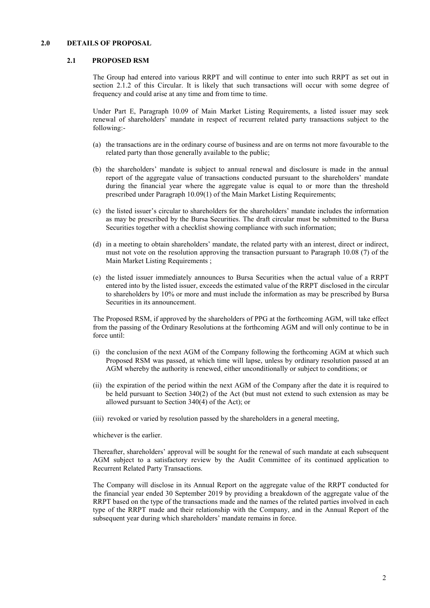#### **2.0 DETAILS OF PROPOSAL**

#### **2.1 PROPOSED RSM**

The Group had entered into various RRPT and will continue to enter into such RRPT as set out in section 2.1.2 of this Circular. It is likely that such transactions will occur with some degree of frequency and could arise at any time and from time to time.

Under Part E, Paragraph 10.09 of Main Market Listing Requirements, a listed issuer may seek renewal of shareholders' mandate in respect of recurrent related party transactions subject to the following:-

- (a) the transactions are in the ordinary course of business and are on terms not more favourable to the related party than those generally available to the public;
- (b) the shareholders' mandate is subject to annual renewal and disclosure is made in the annual report of the aggregate value of transactions conducted pursuant to the shareholders' mandate during the financial year where the aggregate value is equal to or more than the threshold prescribed under Paragraph 10.09(1) of the Main Market Listing Requirements;
- (c) the listed issuer's circular to shareholders for the shareholders' mandate includes the information as may be prescribed by the Bursa Securities. The draft circular must be submitted to the Bursa Securities together with a checklist showing compliance with such information;
- (d) in a meeting to obtain shareholders' mandate, the related party with an interest, direct or indirect, must not vote on the resolution approving the transaction pursuant to Paragraph 10.08 (7) of the Main Market Listing Requirements ;
- (e) the listed issuer immediately announces to Bursa Securities when the actual value of a RRPT entered into by the listed issuer, exceeds the estimated value of the RRPT disclosed in the circular to shareholders by 10% or more and must include the information as may be prescribed by Bursa Securities in its announcement.

The Proposed RSM, if approved by the shareholders of PPG at the forthcoming AGM, will take effect from the passing of the Ordinary Resolutions at the forthcoming AGM and will only continue to be in force until:

- (i) the conclusion of the next AGM of the Company following the forthcoming AGM at which such Proposed RSM was passed, at which time will lapse, unless by ordinary resolution passed at an AGM whereby the authority is renewed, either unconditionally or subject to conditions; or
- (ii) the expiration of the period within the next AGM of the Company after the date it is required to be held pursuant to Section 340(2) of the Act (but must not extend to such extension as may be allowed pursuant to Section 340(4) of the Act); or
- (iii) revoked or varied by resolution passed by the shareholders in a general meeting,

whichever is the earlier.

Thereafter, shareholders' approval will be sought for the renewal of such mandate at each subsequent AGM subject to a satisfactory review by the Audit Committee of its continued application to Recurrent Related Party Transactions.

The Company will disclose in its Annual Report on the aggregate value of the RRPT conducted for the financial year ended 30 September 2019 by providing a breakdown of the aggregate value of the RRPT based on the type of the transactions made and the names of the related parties involved in each type of the RRPT made and their relationship with the Company, and in the Annual Report of the subsequent year during which shareholders' mandate remains in force.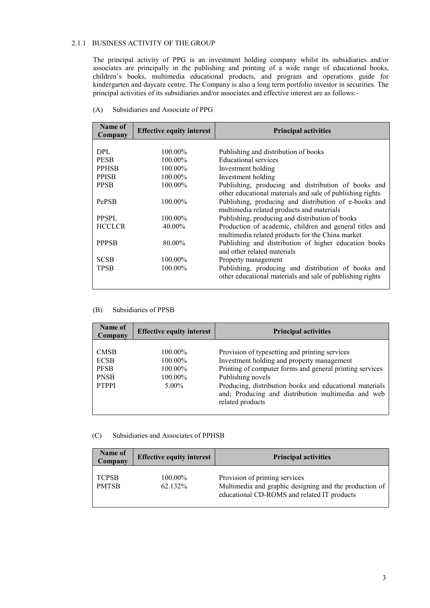## 2.1.1 BUSINESS ACTIVITY OF THE GROUP

The principal activity of PPG is an investment holding company whilst its subsidiaries and/or associates are principally in the publishing and printing of a wide range of educational books, children's books, multimedia educational products, and program and operations guide for kindergarten and daycare centre. The Company is also a long term portfolio investor in securities. The principal activities of its subsidiaries and/or associates and effective interest are as follows:-

| Name of<br>Company | <b>Effective equity interest</b> | <b>Principal activities</b>                               |
|--------------------|----------------------------------|-----------------------------------------------------------|
|                    |                                  |                                                           |
| <b>DPL</b>         | 100.00%                          | Publishing and distribution of books                      |
| <b>PESB</b>        | 100.00%                          | Educational services                                      |
| <b>PPHSB</b>       | $100.00\%$                       | Investment holding                                        |
| <b>PPISB</b>       | $100.00\%$                       | Investment holding                                        |
| <b>PPSB</b>        | 100.00%                          | Publishing, producing and distribution of books and       |
|                    |                                  | other educational materials and sale of publishing rights |
| PePSB              | $100.00\%$                       | Publishing, producing and distribution of e-books and     |
|                    |                                  | multimedia related products and materials                 |
| <b>PPSPL</b>       | $100.00\%$                       | Publishing, producing and distribution of books           |
| <b>HCCLCR</b>      | 40.00%                           | Production of academic, children and general titles and   |
|                    |                                  | multimedia related products for the China market          |
| <b>PPPSB</b>       | 80.00%                           | Publishing and distribution of higher education books     |
|                    |                                  | and other related materials                               |
| <b>SCSB</b>        | $100.00\%$                       | Property management                                       |
| <b>TPSB</b>        | 100.00%                          | Publishing, producing and distribution of books and       |
|                    |                                  | other educational materials and sale of publishing rights |
|                    |                                  |                                                           |

#### (A) Subsidiaries and Associate of PPG

#### (B) Subsidiaries of PPSB

| Name of<br>Company                                                       | <b>Effective equity interest</b>                  | <b>Principal activities</b>                                                                                                                                                                                                                                                                                        |
|--------------------------------------------------------------------------|---------------------------------------------------|--------------------------------------------------------------------------------------------------------------------------------------------------------------------------------------------------------------------------------------------------------------------------------------------------------------------|
| <b>CMSB</b><br><b>ECSB</b><br><b>PFSB</b><br><b>PNSB</b><br><b>PTPPI</b> | 100.00%<br>100.00%<br>100.00%<br>100.00%<br>5.00% | Provision of typesetting and printing services<br>Investment holding and property management<br>Printing of computer forms and general printing services<br>Publishing novels<br>Producing, distribution books and educational materials<br>and; Producing and distribution multimedia and web<br>related products |

#### (C) Subsidiaries and Associates of PPHSB

| Name of<br>Company           | <b>Effective equity interest</b> | <b>Principal activities</b>                                                                                                             |
|------------------------------|----------------------------------|-----------------------------------------------------------------------------------------------------------------------------------------|
| <b>TCPSB</b><br><b>PMTSB</b> | 100.00%<br>62.132%               | Provision of printing services<br>Multimedia and graphic designing and the production of<br>educational CD-ROMS and related IT products |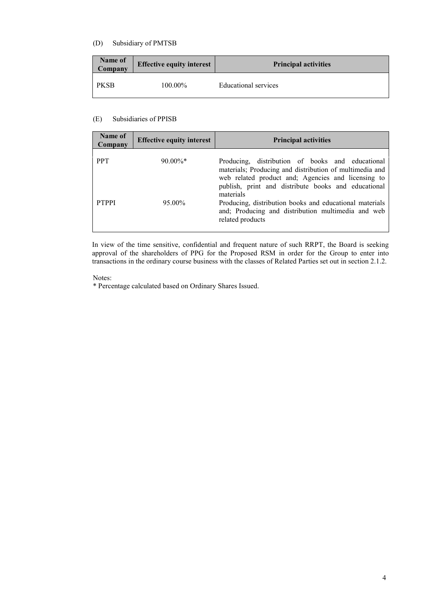## (D) Subsidiary of PMTSB

| Name of<br>Company | <b>Effective equity interest</b> | <b>Principal activities</b> |
|--------------------|----------------------------------|-----------------------------|
| <b>PKSB</b>        | 100.00%                          | Educational services        |

## (E) Subsidiaries of PPISB

| Name of<br>Company | <b>Effective equity interest</b> | <b>Principal activities</b>                                                                                                                                                                                                           |
|--------------------|----------------------------------|---------------------------------------------------------------------------------------------------------------------------------------------------------------------------------------------------------------------------------------|
| <b>PPT</b>         | $90.00\%$ *                      | Producing, distribution of books and educational<br>materials; Producing and distribution of multimedia and<br>web related product and; Agencies and licensing to<br>publish, print and distribute books and educational<br>materials |
| <b>PTPPI</b>       | 95.00%                           | Producing, distribution books and educational materials<br>and; Producing and distribution multimedia and web<br>related products                                                                                                     |

In view of the time sensitive, confidential and frequent nature of such RRPT, the Board is seeking approval of the shareholders of PPG for the Proposed RSM in order for the Group to enter into transactions in the ordinary course business with the classes of Related Parties set out in section 2.1.2.

#### Notes:

\* Percentage calculated based on Ordinary Shares Issued.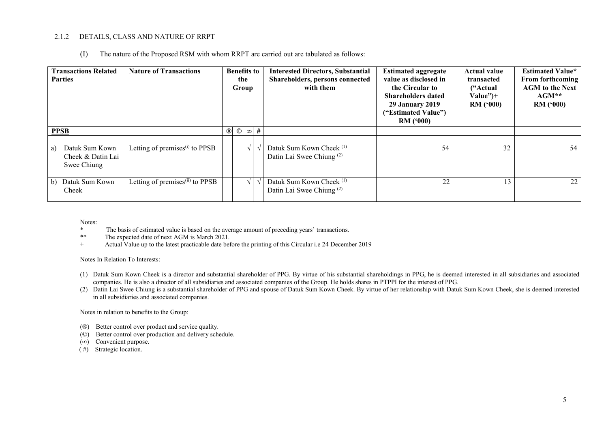### 2.1.2 DETAILS, CLASS AND NATURE OF RRPT

(I) The nature of the Proposed RSM with whom RRPT are carried out are tabulated as follows:

| <b>Transactions Related</b><br><b>Parties</b>            | <b>Nature of Transactions</b>               | <b>Benefits to</b><br>the<br>Group |            |            | <b>Interested Directors, Substantial</b><br>Shareholders, persons connected<br>with them | <b>Estimated aggregate</b><br>value as disclosed in<br>the Circular to<br><b>Shareholders dated</b><br><b>29 January 2019</b><br>("Estimated Value")<br>RM(000) | <b>Actual value</b><br>transacted<br>("Actual")<br>$Value")+$<br>RM(900) | <b>Estimated Value*</b><br><b>From forthcoming</b><br><b>AGM</b> to the Next<br>$AGM^{\ast\ast}$<br>RM(900) |
|----------------------------------------------------------|---------------------------------------------|------------------------------------|------------|------------|------------------------------------------------------------------------------------------|-----------------------------------------------------------------------------------------------------------------------------------------------------------------|--------------------------------------------------------------------------|-------------------------------------------------------------------------------------------------------------|
| <b>PPSB</b>                                              |                                             | $\odot$<br>$^{\circledR}$          |            | $\infty$ # |                                                                                          |                                                                                                                                                                 |                                                                          |                                                                                                             |
| Datuk Sum Kown<br>a)<br>Cheek & Datin Lai<br>Swee Chiung | Letting of premises <sup>(i)</sup> to PPSB  |                                    | V          |            | Datuk Sum Kown Cheek <sup>(1)</sup><br>Datin Lai Swee Chiung <sup>(2)</sup>              | 54                                                                                                                                                              | 32                                                                       | 54                                                                                                          |
| Datuk Sum Kown<br>b)<br>Cheek                            | Letting of premises <sup>(ii)</sup> to PPSB |                                    | $\sqrt{ }$ |            | Datuk Sum Kown Cheek <sup>(1)</sup><br>Datin Lai Swee Chiung <sup>(2)</sup>              | 22                                                                                                                                                              | 13                                                                       | 22                                                                                                          |

Notes:

- \* The basis of estimated value is based on the average amount of preceding years' transactions.<br>\*\* The expected date of next AGM is March 2021
- \*\* The expected date of next AGM is March 2021.<br>Actual Value up to the latest practicable date bet
- Actual Value up to the latest practicable date before the printing of this Circular i.e 24 December 2019

#### Notes In Relation To Interests:

- (1) Datuk Sum Kown Cheek is a director and substantial shareholder of PPG. By virtue of his substantial shareholdings in PPG, he is deemed interested in all subsidiaries and associated companies. He is also a director of all subsidiaries and associated companies of the Group. He holds shares in PTPPI for the interest of PPG.
- (2) Datin Lai Swee Chiung is a substantial shareholder of PPG and spouse of Datuk Sum Kown Cheek. By virtue of her relationship with Datuk Sum Kown Cheek, she is deemed interested in all subsidiaries and associated companies.

Notes in relation to benefits to the Group:

- (®) Better control over product and service quality.
- (©) Better control over production and delivery schedule.
- (∞) Convenient purpose.
- (#) Strategic location.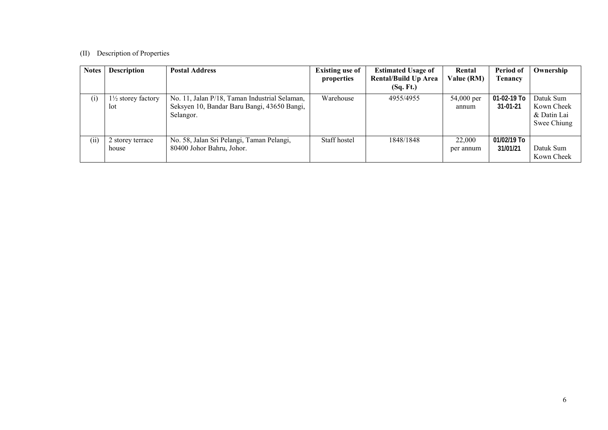# (II) Description of Properties

| <b>Notes</b> | <b>Description</b>                   | <b>Postal Address</b>                                                                                     | <b>Existing use of</b><br>properties | <b>Estimated Usage of</b><br><b>Rental/Build Up Area</b><br>(Sq. Ft.) | Rental<br>Value (RM) | Period of<br>Tenancy          | Ownership                                             |
|--------------|--------------------------------------|-----------------------------------------------------------------------------------------------------------|--------------------------------------|-----------------------------------------------------------------------|----------------------|-------------------------------|-------------------------------------------------------|
| (i)          | $1\frac{1}{2}$ storey factory<br>lot | No. 11, Jalan P/18, Taman Industrial Selaman,<br>Seksyen 10, Bandar Baru Bangi, 43650 Bangi,<br>Selangor. | Warehouse                            | 4955/4955                                                             | 54,000 per<br>annum  | 01-02-19 To<br>$31 - 01 - 21$ | Datuk Sum<br>Kown Cheek<br>& Datin Lai<br>Swee Chiung |
| (ii)         | 2 storey terrace<br>house            | No. 58, Jalan Sri Pelangi, Taman Pelangi,<br>80400 Johor Bahru, Johor.                                    | Staff hostel                         | 1848/1848                                                             | 22,000<br>per annum  | 01/02/19 To<br>31/01/21       | Datuk Sum<br>Kown Cheek                               |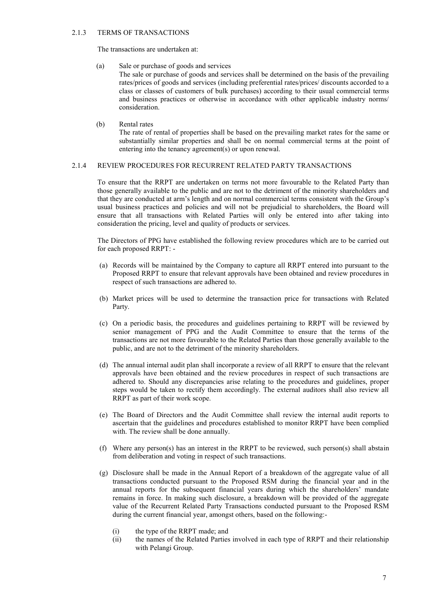#### 2.1.3 TERMS OF TRANSACTIONS

The transactions are undertaken at:

(a) Sale or purchase of goods and services

The sale or purchase of goods and services shall be determined on the basis of the prevailing rates/prices of goods and services (including preferential rates/prices/ discounts accorded to a class or classes of customers of bulk purchases) according to their usual commercial terms and business practices or otherwise in accordance with other applicable industry norms/ consideration.

(b) Rental rates

The rate of rental of properties shall be based on the prevailing market rates for the same or substantially similar properties and shall be on normal commercial terms at the point of entering into the tenancy agreement(s) or upon renewal.

## 2.1.4 REVIEW PROCEDURES FOR RECURRENT RELATED PARTY TRANSACTIONS

To ensure that the RRPT are undertaken on terms not more favourable to the Related Party than those generally available to the public and are not to the detriment of the minority shareholders and that they are conducted at arm's length and on normal commercial terms consistent with the Group's usual business practices and policies and will not be prejudicial to shareholders, the Board will ensure that all transactions with Related Parties will only be entered into after taking into consideration the pricing, level and quality of products or services.

The Directors of PPG have established the following review procedures which are to be carried out for each proposed RRPT: -

- (a) Records will be maintained by the Company to capture all RRPT entered into pursuant to the Proposed RRPT to ensure that relevant approvals have been obtained and review procedures in respect of such transactions are adhered to.
- (b) Market prices will be used to determine the transaction price for transactions with Related Party.
- (c) On a periodic basis, the procedures and guidelines pertaining to RRPT will be reviewed by senior management of PPG and the Audit Committee to ensure that the terms of the transactions are not more favourable to the Related Parties than those generally available to the public, and are not to the detriment of the minority shareholders.
- (d) The annual internal audit plan shall incorporate a review of all RRPT to ensure that the relevant approvals have been obtained and the review procedures in respect of such transactions are adhered to. Should any discrepancies arise relating to the procedures and guidelines, proper steps would be taken to rectify them accordingly. The external auditors shall also review all RRPT as part of their work scope.
- (e) The Board of Directors and the Audit Committee shall review the internal audit reports to ascertain that the guidelines and procedures established to monitor RRPT have been complied with. The review shall be done annually.
- (f) Where any person(s) has an interest in the RRPT to be reviewed, such person(s) shall abstain from deliberation and voting in respect of such transactions.
- (g) Disclosure shall be made in the Annual Report of a breakdown of the aggregate value of all transactions conducted pursuant to the Proposed RSM during the financial year and in the annual reports for the subsequent financial years during which the shareholders' mandate remains in force. In making such disclosure, a breakdown will be provided of the aggregate value of the Recurrent Related Party Transactions conducted pursuant to the Proposed RSM during the current financial year, amongst others, based on the following:-
	- (i) the type of the RRPT made; and
	- (ii) the names of the Related Parties involved in each type of RRPT and their relationship with Pelangi Group.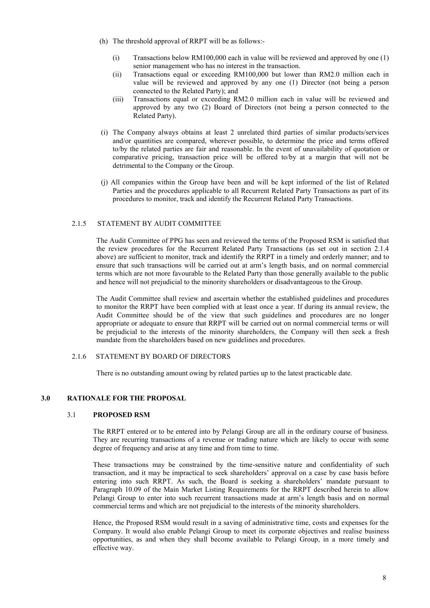- (h) The threshold approval of RRPT will be as follows:-
	- (i) Transactions below RM100,000 each in value will be reviewed and approved by one (1) senior management who has no interest in the transaction.
	- (ii) Transactions equal or exceeding RM100,000 but lower than RM2.0 million each in value will be reviewed and approved by any one (1) Director (not being a person connected to the Related Party); and
	- (iii) Transactions equal or exceeding RM2.0 million each in value will be reviewed and approved by any two (2) Board of Directors (not being a person connected to the Related Party).
- (i) The Company always obtains at least 2 unrelated third parties of similar products/services and/or quantities are compared, wherever possible, to determine the price and terms offered to/by the related parties are fair and reasonable. In the event of unavailability of quotation or comparative pricing, transaction price will be offered to/by at a margin that will not be detrimental to the Company or the Group.
- (j) All companies within the Group have been and will be kept informed of the list of Related Parties and the procedures applicable to all Recurrent Related Party Transactions as part of its procedures to monitor, track and identify the Recurrent Related Party Transactions.

## 2.1.5 STATEMENT BY AUDIT COMMITTEE

The Audit Committee of PPG has seen and reviewed the terms of the Proposed RSM is satisfied that the review procedures for the Recurrent Related Party Transactions (as set out in section 2.1.4 above) are sufficient to monitor, track and identify the RRPT in a timely and orderly manner; and to ensure that such transactions will be carried out at arm's length basis, and on normal commercial terms which are not more favourable to the Related Party than those generally available to the public and hence will not prejudicial to the minority shareholders or disadvantageous to the Group.

The Audit Committee shall review and ascertain whether the established guidelines and procedures to monitor the RRPT have been complied with at least once a year. If during its annual review, the Audit Committee should be of the view that such guidelines and procedures are no longer appropriate or adequate to ensure that RRPT will be carried out on normal commercial terms or will be prejudicial to the interests of the minority shareholders, the Company will then seek a fresh mandate from the shareholders based on new guidelines and procedures.

#### 2.1.6 STATEMENT BY BOARD OF DIRECTORS

There is no outstanding amount owing by related parties up to the latest practicable date.

#### **3.0 RATIONALE FOR THE PROPOSAL**

#### 3.1 **PROPOSED RSM**

The RRPT entered or to be entered into by Pelangi Group are all in the ordinary course of business. They are recurring transactions of a revenue or trading nature which are likely to occur with some degree of frequency and arise at any time and from time to time.

These transactions may be constrained by the time-sensitive nature and confidentiality of such transaction, and it may be impractical to seek shareholders' approval on a case by case basis before entering into such RRPT. As such, the Board is seeking a shareholders' mandate pursuant to Paragraph 10.09 of the Main Market Listing Requirements for the RRPT described herein to allow Pelangi Group to enter into such recurrent transactions made at arm's length basis and on normal commercial terms and which are not prejudicial to the interests of the minority shareholders.

Hence, the Proposed RSM would result in a saving of administrative time, costs and expenses for the Company. It would also enable Pelangi Group to meet its corporate objectives and realise business opportunities, as and when they shall become available to Pelangi Group, in a more timely and effective way.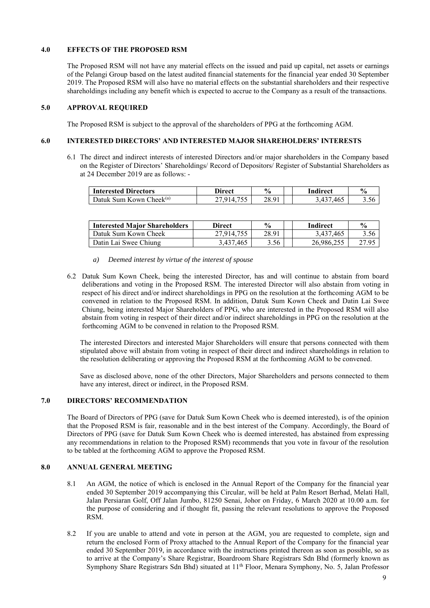## **4.0 EFFECTS OF THE PROPOSED RSM**

The Proposed RSM will not have any material effects on the issued and paid up capital, net assets or earnings of the Pelangi Group based on the latest audited financial statements for the financial year ended 30 September 2019. The Proposed RSM will also have no material effects on the substantial shareholders and their respective shareholdings including any benefit which is expected to accrue to the Company as a result of the transactions.

#### **5.0 APPROVAL REQUIRED**

The Proposed RSM is subject to the approval of the shareholders of PPG at the forthcoming AGM.

# **6.0 INTERESTED DIRECTORS' AND INTERESTED MAJOR SHAREHOLDERS' INTERESTS**

6.1 The direct and indirect interests of interested Directors and/or major shareholders in the Company based on the Register of Directors' Shareholdings/ Record of Depositors/ Register of Substantial Shareholders as at 24 December 2019 are as follows: -

| <b>Interested Directors</b>                         | Direct | $\frac{6}{9}$ | Indirect | $\mathbf{0}$ |
|-----------------------------------------------------|--------|---------------|----------|--------------|
| $\mathrm{Theek}^{\mathrm{(a)}}$<br>Datuk Sum Kown C |        | 28.91         | .465     | 3.Jt         |

| <b>Interested Major Shareholders</b> | <b>Direct</b> | $\frac{6}{9}$ | <b>Indirect</b> | $\frac{0}{0}$ |
|--------------------------------------|---------------|---------------|-----------------|---------------|
| - Datuk Sum Kown Cheek               | 27.914.755    | 28.91         | 3.437.465       |               |
| Datin Lai Swee Chiung                | 3.437.465     | 3.56          | 26,986,255      | 27.95         |

- *a) Deemed interest by virtue of the interest of spouse*
- 6.2 Datuk Sum Kown Cheek, being the interested Director, has and will continue to abstain from board deliberations and voting in the Proposed RSM. The interested Director will also abstain from voting in respect of his direct and/or indirect shareholdings in PPG on the resolution at the forthcoming AGM to be convened in relation to the Proposed RSM. In addition, Datuk Sum Kown Cheek and Datin Lai Swee Chiung, being interested Major Shareholders of PPG, who are interested in the Proposed RSM will also abstain from voting in respect of their direct and/or indirect shareholdings in PPG on the resolution at the forthcoming AGM to be convened in relation to the Proposed RSM.

 The interested Directors and interested Major Shareholders will ensure that persons connected with them stipulated above will abstain from voting in respect of their direct and indirect shareholdings in relation to the resolution deliberating or approving the Proposed RSM at the forthcoming AGM to be convened.

 Save as disclosed above, none of the other Directors, Major Shareholders and persons connected to them have any interest, direct or indirect, in the Proposed RSM.

#### **7.0 DIRECTORS' RECOMMENDATION**

The Board of Directors of PPG (save for Datuk Sum Kown Cheek who is deemed interested), is of the opinion that the Proposed RSM is fair, reasonable and in the best interest of the Company. Accordingly, the Board of Directors of PPG (save for Datuk Sum Kown Cheek who is deemed interested, has abstained from expressing any recommendations in relation to the Proposed RSM) recommends that you vote in favour of the resolution to be tabled at the forthcoming AGM to approve the Proposed RSM.

#### **8.0 ANNUAL GENERAL MEETING**

- 8.1 An AGM, the notice of which is enclosed in the Annual Report of the Company for the financial year ended 30 September 2019 accompanying this Circular, will be held at Palm Resort Berhad, Melati Hall, Jalan Persiaran Golf, Off Jalan Jumbo, 81250 Senai, Johor on Friday, 6 March 2020 at 10.00 a.m. for the purpose of considering and if thought fit, passing the relevant resolutions to approve the Proposed RSM.
- 8.2 If you are unable to attend and vote in person at the AGM, you are requested to complete, sign and return the enclosed Form of Proxy attached to the Annual Report of the Company for the financial year ended 30 September 2019, in accordance with the instructions printed thereon as soon as possible, so as to arrive at the Company's Share Registrar, Boardroom Share Registrars Sdn Bhd (formerly known as Symphony Share Registrars Sdn Bhd) situated at 11<sup>th</sup> Floor, Menara Symphony, No. 5, Jalan Professor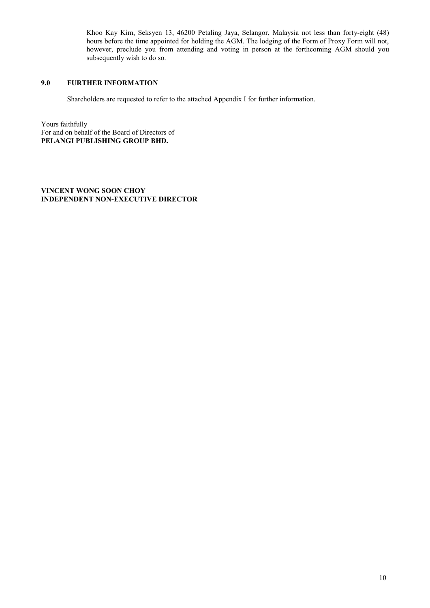Khoo Kay Kim, Seksyen 13, 46200 Petaling Jaya, Selangor, Malaysia not less than forty-eight (48) hours before the time appointed for holding the AGM. The lodging of the Form of Proxy Form will not, however, preclude you from attending and voting in person at the forthcoming AGM should you subsequently wish to do so.

## **9.0 FURTHER INFORMATION**

Shareholders are requested to refer to the attached Appendix I for further information.

Yours faithfully For and on behalf of the Board of Directors of **PELANGI PUBLISHING GROUP BHD.** 

**VINCENT WONG SOON CHOY INDEPENDENT NON-EXECUTIVE DIRECTOR**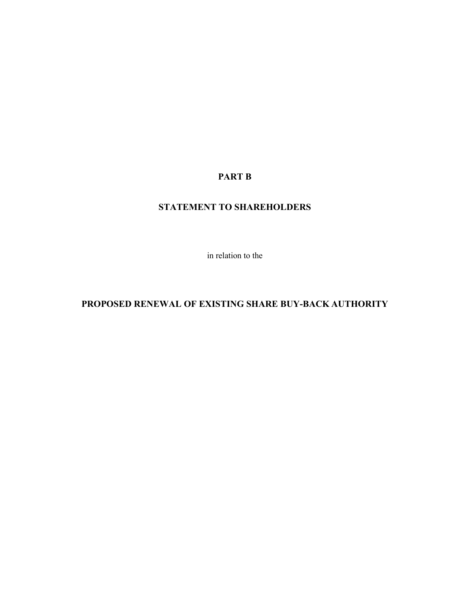# **PART B**

# **STATEMENT TO SHAREHOLDERS**

in relation to the

# **PROPOSED RENEWAL OF EXISTING SHARE BUY-BACK AUTHORITY**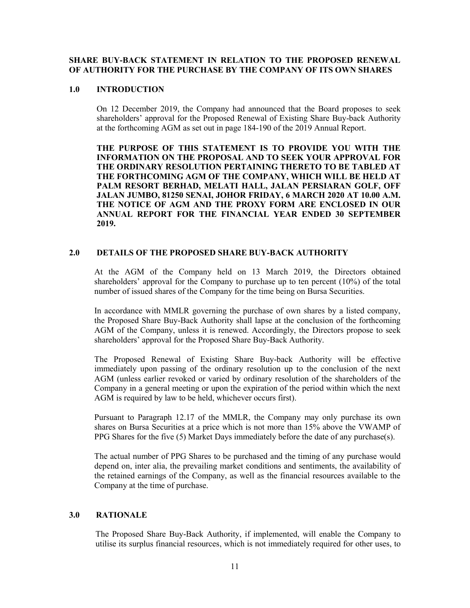## **SHARE BUY-BACK STATEMENT IN RELATION TO THE PROPOSED RENEWAL OF AUTHORITY FOR THE PURCHASE BY THE COMPANY OF ITS OWN SHARES**

### **1.0 INTRODUCTION**

On 12 December 2019, the Company had announced that the Board proposes to seek shareholders' approval for the Proposed Renewal of Existing Share Buy-back Authority at the forthcoming AGM as set out in page 184-190 of the 2019 Annual Report.

**THE PURPOSE OF THIS STATEMENT IS TO PROVIDE YOU WITH THE INFORMATION ON THE PROPOSAL AND TO SEEK YOUR APPROVAL FOR THE ORDINARY RESOLUTION PERTAINING THERETO TO BE TABLED AT THE FORTHCOMING AGM OF THE COMPANY, WHICH WILL BE HELD AT PALM RESORT BERHAD, MELATI HALL, JALAN PERSIARAN GOLF, OFF JALAN JUMBO, 81250 SENAI, JOHOR FRIDAY, 6 MARCH 2020 AT 10.00 A.M. THE NOTICE OF AGM AND THE PROXY FORM ARE ENCLOSED IN OUR ANNUAL REPORT FOR THE FINANCIAL YEAR ENDED 30 SEPTEMBER 2019.**

# **2.0 DETAILS OF THE PROPOSED SHARE BUY-BACK AUTHORITY**

At the AGM of the Company held on 13 March 2019, the Directors obtained shareholders' approval for the Company to purchase up to ten percent (10%) of the total number of issued shares of the Company for the time being on Bursa Securities.

In accordance with MMLR governing the purchase of own shares by a listed company, the Proposed Share Buy-Back Authority shall lapse at the conclusion of the forthcoming AGM of the Company, unless it is renewed. Accordingly, the Directors propose to seek shareholders' approval for the Proposed Share Buy-Back Authority.

The Proposed Renewal of Existing Share Buy-back Authority will be effective immediately upon passing of the ordinary resolution up to the conclusion of the next AGM (unless earlier revoked or varied by ordinary resolution of the shareholders of the Company in a general meeting or upon the expiration of the period within which the next AGM is required by law to be held, whichever occurs first).

Pursuant to Paragraph 12.17 of the MMLR, the Company may only purchase its own shares on Bursa Securities at a price which is not more than 15% above the VWAMP of PPG Shares for the five (5) Market Days immediately before the date of any purchase(s).

The actual number of PPG Shares to be purchased and the timing of any purchase would depend on, inter alia, the prevailing market conditions and sentiments, the availability of the retained earnings of the Company, as well as the financial resources available to the Company at the time of purchase.

# **3.0 RATIONALE**

The Proposed Share Buy-Back Authority, if implemented, will enable the Company to utilise its surplus financial resources, which is not immediately required for other uses, to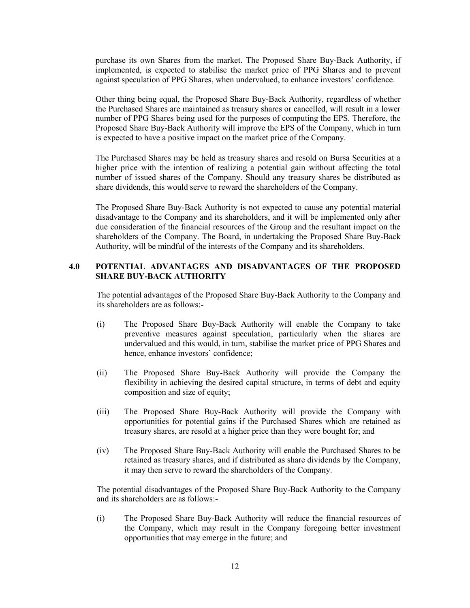purchase its own Shares from the market. The Proposed Share Buy-Back Authority, if implemented, is expected to stabilise the market price of PPG Shares and to prevent against speculation of PPG Shares, when undervalued, to enhance investors' confidence.

Other thing being equal, the Proposed Share Buy-Back Authority, regardless of whether the Purchased Shares are maintained as treasury shares or cancelled, will result in a lower number of PPG Shares being used for the purposes of computing the EPS. Therefore, the Proposed Share Buy-Back Authority will improve the EPS of the Company, which in turn is expected to have a positive impact on the market price of the Company.

The Purchased Shares may be held as treasury shares and resold on Bursa Securities at a higher price with the intention of realizing a potential gain without affecting the total number of issued shares of the Company. Should any treasury shares be distributed as share dividends, this would serve to reward the shareholders of the Company.

The Proposed Share Buy-Back Authority is not expected to cause any potential material disadvantage to the Company and its shareholders, and it will be implemented only after due consideration of the financial resources of the Group and the resultant impact on the shareholders of the Company. The Board, in undertaking the Proposed Share Buy-Back Authority, will be mindful of the interests of the Company and its shareholders.

# **4.0 POTENTIAL ADVANTAGES AND DISADVANTAGES OF THE PROPOSED SHARE BUY-BACK AUTHORITY**

The potential advantages of the Proposed Share Buy-Back Authority to the Company and its shareholders are as follows:-

- (i) The Proposed Share Buy-Back Authority will enable the Company to take preventive measures against speculation, particularly when the shares are undervalued and this would, in turn, stabilise the market price of PPG Shares and hence, enhance investors' confidence;
- (ii) The Proposed Share Buy-Back Authority will provide the Company the flexibility in achieving the desired capital structure, in terms of debt and equity composition and size of equity;
- (iii) The Proposed Share Buy-Back Authority will provide the Company with opportunities for potential gains if the Purchased Shares which are retained as treasury shares, are resold at a higher price than they were bought for; and
- (iv) The Proposed Share Buy-Back Authority will enable the Purchased Shares to be retained as treasury shares, and if distributed as share dividends by the Company, it may then serve to reward the shareholders of the Company.

The potential disadvantages of the Proposed Share Buy-Back Authority to the Company and its shareholders are as follows:-

(i) The Proposed Share Buy-Back Authority will reduce the financial resources of the Company, which may result in the Company foregoing better investment opportunities that may emerge in the future; and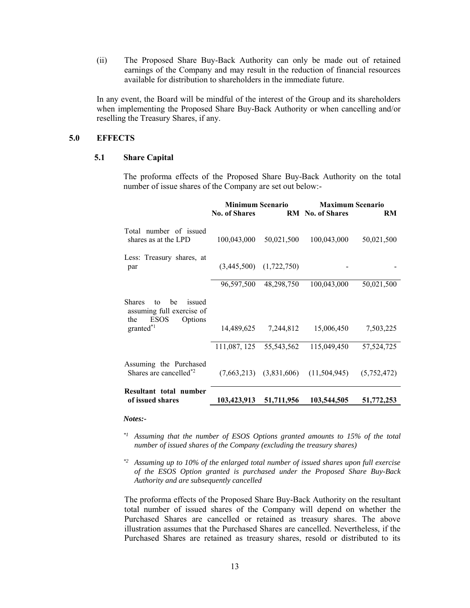(ii) The Proposed Share Buy-Back Authority can only be made out of retained earnings of the Company and may result in the reduction of financial resources available for distribution to shareholders in the immediate future.

In any event, the Board will be mindful of the interest of the Group and its shareholders when implementing the Proposed Share Buy-Back Authority or when cancelling and/or reselling the Treasury Shares, if any.

### **5.0 EFFECTS**

# **5.1 Share Capital**

The proforma effects of the Proposed Share Buy-Back Authority on the total number of issue shares of the Company are set out below:-

|                                                                                                                | <b>Minimum Scenario</b> |                             | <b>Maximum Scenario</b> |              |  |  |
|----------------------------------------------------------------------------------------------------------------|-------------------------|-----------------------------|-------------------------|--------------|--|--|
|                                                                                                                | <b>No. of Shares</b>    |                             | RM No. of Shares        | RM           |  |  |
| Total number of issued<br>shares as at the LPD                                                                 | 100,043,000             | 50,021,500                  | 100,043,000             | 50,021,500   |  |  |
| Less: Treasury shares, at<br>par                                                                               | (3,445,500)             | (1,722,750)                 |                         |              |  |  |
|                                                                                                                | 96,597,500              | 48,298,750                  | 100,043,000             | 50,021,500   |  |  |
| he<br>issued<br><b>Shares</b><br>to<br>assuming full exercise of<br>Options<br><b>ESOS</b><br>the<br>granted*1 | 14,489,625              | 7,244,812                   | 15,006,450              | 7,503,225    |  |  |
|                                                                                                                | 111,087, 125            | 55,543,562                  | 115,049,450             | 57, 524, 725 |  |  |
| Assuming the Purchased<br>Shares are cancelled <sup>*2</sup>                                                   |                         | $(7,663,213)$ $(3,831,606)$ | (11,504,945)            | (5,752,472)  |  |  |
| Resultant total number<br>of issued shares                                                                     | 103,423,913             | 51,711,956                  | 103,544,505             | 51,772,253   |  |  |

#### *Notes:-*

- *\*1 Assuming that the number of ESOS Options granted amounts to 15% of the total number of issued shares of the Company (excluding the treasury shares)*
- *\*2 Assuming up to 10% of the enlarged total number of issued shares upon full exercise of the ESOS Option granted is purchased under the Proposed Share Buy-Back Authority and are subsequently cancelled*

The proforma effects of the Proposed Share Buy-Back Authority on the resultant total number of issued shares of the Company will depend on whether the Purchased Shares are cancelled or retained as treasury shares. The above illustration assumes that the Purchased Shares are cancelled. Nevertheless, if the Purchased Shares are retained as treasury shares, resold or distributed to its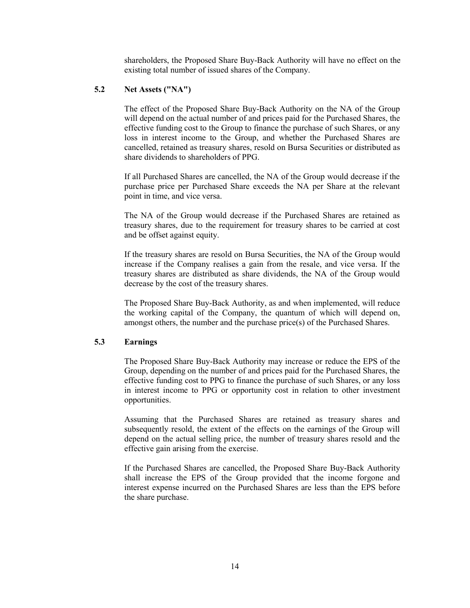shareholders, the Proposed Share Buy-Back Authority will have no effect on the existing total number of issued shares of the Company.

# **5.2 Net Assets ("NA")**

The effect of the Proposed Share Buy-Back Authority on the NA of the Group will depend on the actual number of and prices paid for the Purchased Shares, the effective funding cost to the Group to finance the purchase of such Shares, or any loss in interest income to the Group, and whether the Purchased Shares are cancelled, retained as treasury shares, resold on Bursa Securities or distributed as share dividends to shareholders of PPG.

If all Purchased Shares are cancelled, the NA of the Group would decrease if the purchase price per Purchased Share exceeds the NA per Share at the relevant point in time, and vice versa.

The NA of the Group would decrease if the Purchased Shares are retained as treasury shares, due to the requirement for treasury shares to be carried at cost and be offset against equity.

If the treasury shares are resold on Bursa Securities, the NA of the Group would increase if the Company realises a gain from the resale, and vice versa. If the treasury shares are distributed as share dividends, the NA of the Group would decrease by the cost of the treasury shares.

The Proposed Share Buy-Back Authority, as and when implemented, will reduce the working capital of the Company, the quantum of which will depend on, amongst others, the number and the purchase price(s) of the Purchased Shares.

# **5.3 Earnings**

The Proposed Share Buy-Back Authority may increase or reduce the EPS of the Group, depending on the number of and prices paid for the Purchased Shares, the effective funding cost to PPG to finance the purchase of such Shares, or any loss in interest income to PPG or opportunity cost in relation to other investment opportunities.

Assuming that the Purchased Shares are retained as treasury shares and subsequently resold, the extent of the effects on the earnings of the Group will depend on the actual selling price, the number of treasury shares resold and the effective gain arising from the exercise.

If the Purchased Shares are cancelled, the Proposed Share Buy-Back Authority shall increase the EPS of the Group provided that the income forgone and interest expense incurred on the Purchased Shares are less than the EPS before the share purchase.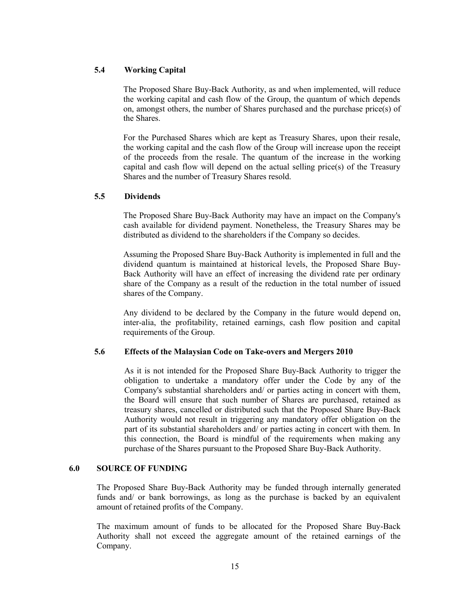# **5.4 Working Capital**

The Proposed Share Buy-Back Authority, as and when implemented, will reduce the working capital and cash flow of the Group, the quantum of which depends on, amongst others, the number of Shares purchased and the purchase price(s) of the Shares.

For the Purchased Shares which are kept as Treasury Shares, upon their resale, the working capital and the cash flow of the Group will increase upon the receipt of the proceeds from the resale. The quantum of the increase in the working capital and cash flow will depend on the actual selling price(s) of the Treasury Shares and the number of Treasury Shares resold.

# **5.5 Dividends**

The Proposed Share Buy-Back Authority may have an impact on the Company's cash available for dividend payment. Nonetheless, the Treasury Shares may be distributed as dividend to the shareholders if the Company so decides.

Assuming the Proposed Share Buy-Back Authority is implemented in full and the dividend quantum is maintained at historical levels, the Proposed Share Buy-Back Authority will have an effect of increasing the dividend rate per ordinary share of the Company as a result of the reduction in the total number of issued shares of the Company.

Any dividend to be declared by the Company in the future would depend on, inter-alia, the profitability, retained earnings, cash flow position and capital requirements of the Group.

## **5.6 Effects of the Malaysian Code on Take-overs and Mergers 2010**

As it is not intended for the Proposed Share Buy-Back Authority to trigger the obligation to undertake a mandatory offer under the Code by any of the Company's substantial shareholders and/ or parties acting in concert with them, the Board will ensure that such number of Shares are purchased, retained as treasury shares, cancelled or distributed such that the Proposed Share Buy-Back Authority would not result in triggering any mandatory offer obligation on the part of its substantial shareholders and/ or parties acting in concert with them. In this connection, the Board is mindful of the requirements when making any purchase of the Shares pursuant to the Proposed Share Buy-Back Authority.

# **6.0 SOURCE OF FUNDING**

The Proposed Share Buy-Back Authority may be funded through internally generated funds and/ or bank borrowings, as long as the purchase is backed by an equivalent amount of retained profits of the Company.

The maximum amount of funds to be allocated for the Proposed Share Buy-Back Authority shall not exceed the aggregate amount of the retained earnings of the Company.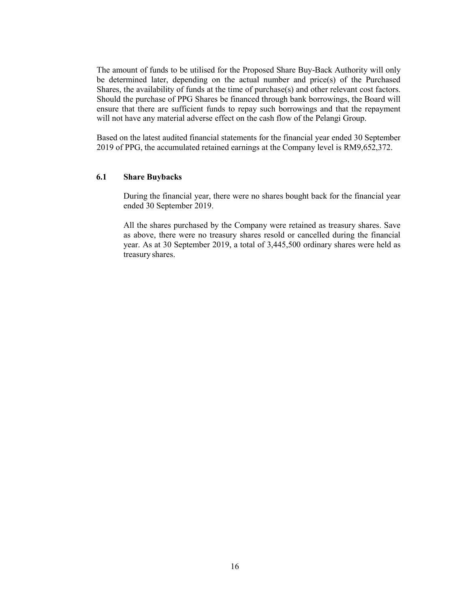The amount of funds to be utilised for the Proposed Share Buy-Back Authority will only be determined later, depending on the actual number and price(s) of the Purchased Shares, the availability of funds at the time of purchase(s) and other relevant cost factors. Should the purchase of PPG Shares be financed through bank borrowings, the Board will ensure that there are sufficient funds to repay such borrowings and that the repayment will not have any material adverse effect on the cash flow of the Pelangi Group.

Based on the latest audited financial statements for the financial year ended 30 September 2019 of PPG, the accumulated retained earnings at the Company level is RM9,652,372.

### **6.1 Share Buybacks**

During the financial year, there were no shares bought back for the financial year ended 30 September 2019.

All the shares purchased by the Company were retained as treasury shares. Save as above, there were no treasury shares resold or cancelled during the financial year. As at 30 September 2019, a total of 3,445,500 ordinary shares were held as treasury shares.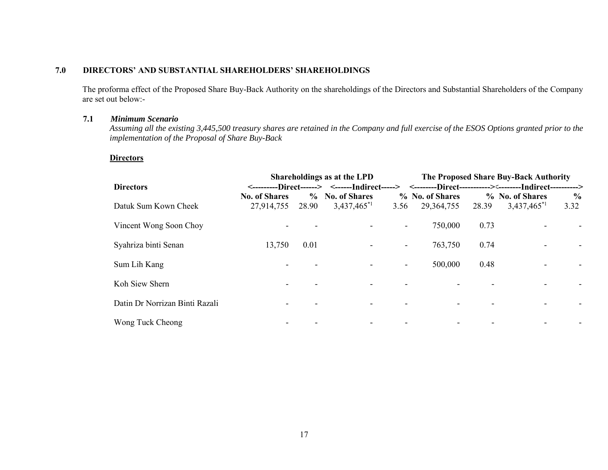# **7.0 DIRECTORS' AND SUBSTANTIAL SHAREHOLDERS' SHAREHOLDINGS**

The proforma effect of the Proposed Share Buy-Back Authority on the shareholdings of the Directors and Substantial Shareholders of the Company are set out below:-

# **7.1** *Minimum Scenario*

*Assuming all the existing 3,445,500 treasury shares are retained in the Company and full exercise of the ESOS Options granted prior to the implementation of the Proposal of Share Buy-Back* 

## **Directors**

|                                | Shareholdings as at the LPD        |       |                                                                                                       |                          | The Proposed Share Buy-Back Authority |       |                                     |                       |  |  |
|--------------------------------|------------------------------------|-------|-------------------------------------------------------------------------------------------------------|--------------------------|---------------------------------------|-------|-------------------------------------|-----------------------|--|--|
| <b>Directors</b>               |                                    |       | <---------Direct------> <------Indirect-----> <--------Direct-----------><--------Indirect----------> |                          |                                       |       |                                     |                       |  |  |
| Datuk Sum Kown Cheek           | <b>No. of Shares</b><br>27,914,755 | 28.90 | % No. of Shares<br>3,437,465 <sup>*1</sup>                                                            | 3.56                     | % No. of Shares<br>29,364,755         | 28.39 | % No. of Shares<br>$3,437,465^{*1}$ | $\frac{6}{9}$<br>3.32 |  |  |
| Vincent Wong Soon Choy         |                                    |       |                                                                                                       | $\overline{\phantom{a}}$ | 750,000                               | 0.73  |                                     |                       |  |  |
| Syahriza binti Senan           | 13,750                             | 0.01  |                                                                                                       | $\overline{\phantom{a}}$ | 763,750                               | 0.74  |                                     |                       |  |  |
| Sum Lih Kang                   |                                    |       |                                                                                                       | $\overline{\phantom{a}}$ | 500,000                               | 0.48  |                                     |                       |  |  |
| Koh Siew Shern                 |                                    |       |                                                                                                       |                          |                                       |       |                                     |                       |  |  |
| Datin Dr Norrizan Binti Razali |                                    |       |                                                                                                       |                          |                                       |       |                                     |                       |  |  |
| Wong Tuck Cheong               |                                    |       |                                                                                                       |                          |                                       |       |                                     |                       |  |  |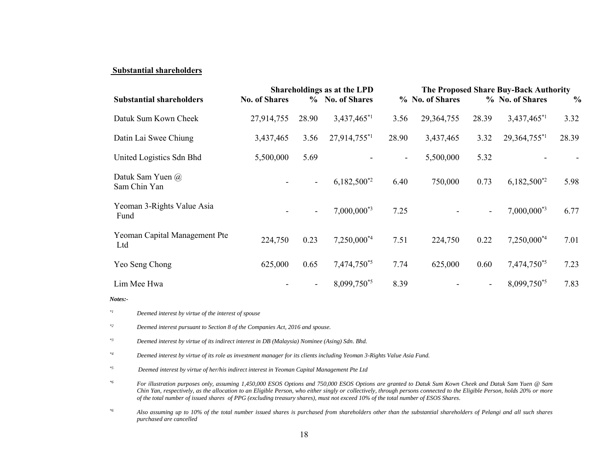### **Substantial shareholders**

|                                      |                      | Shareholdings as at the LPD |                  | The Proposed Share Buy-Back Authority |                 |                |                         |               |
|--------------------------------------|----------------------|-----------------------------|------------------|---------------------------------------|-----------------|----------------|-------------------------|---------------|
| <b>Substantial shareholders</b>      | <b>No. of Shares</b> |                             | % No. of Shares  |                                       | % No. of Shares |                | % No. of Shares         | $\frac{0}{0}$ |
| Datuk Sum Kown Cheek                 | 27,914,755           | 28.90                       | 3,437,465*1      | 3.56                                  | 29,364,755      | 28.39          | 3,437,465 <sup>*1</sup> | 3.32          |
| Datin Lai Swee Chiung                | 3,437,465            | 3.56                        | 27,914,755*1     | 28.90                                 | 3,437,465       | 3.32           | $29,364,755^{*1}$       | 28.39         |
| United Logistics Sdn Bhd             | 5,500,000            | 5.69                        |                  | $\overline{\phantom{a}}$              | 5,500,000       | 5.32           |                         |               |
| Datuk Sam Yuen @<br>Sam Chin Yan     |                      | $\blacksquare$              | $6,182,500^{*2}$ | 6.40                                  | 750,000         | 0.73           | $6,182,500^{*2}$        | 5.98          |
| Yeoman 3-Rights Value Asia<br>Fund   |                      | $\blacksquare$              | $7,000,000^{*3}$ | 7.25                                  |                 | $\blacksquare$ | $7,000,000^{*3}$        | 6.77          |
| Yeoman Capital Management Pte<br>Ltd | 224,750              | 0.23                        | 7,250,000*4      | 7.51                                  | 224,750         | 0.22           | 7,250,000*4             | 7.01          |
| Yeo Seng Chong                       | 625,000              | 0.65                        | 7,474,750*5      | 7.74                                  | 625,000         | 0.60           | 7,474,750*5             | 7.23          |
| Lim Mee Hwa                          |                      | $\overline{\phantom{a}}$    | 8,099,750*5      | 8.39                                  |                 | $\blacksquare$ | $8,099,750^{*5}$        | 7.83          |
| Notes:-                              |                      |                             |                  |                                       |                 |                |                         |               |

*\*1 Deemed interest by virtue of the interest of spouse* 

*\*2 Deemed interest pursuant to Section 8 of the Companies Act, 2016 and spouse.* 

*\*3 Deemed interest by virtue of its indirect interest in DB (Malaysia) Nominee (Asing) Sdn. Bhd.* 

*\*4 Deemed interest by virtue of its role as investment manager for its clients including Yeoman 3-Rights Value Asia Fund.* 

*\*5 Deemed interest by virtue of her/his indirect interest in Yeoman Capital Management Pte Ltd* 

*\*6 For illustration purposes only, assuming 1,450,000 ESOS Options and 750,000 ESOS Options are granted to Datuk Sum Kown Cheek and Datuk Sam Yuen @ Sam Chin Yan, respectively, as the allocation to an Eligible Person, who either singly or collectively, through persons connected to the Eligible Person, holds 20% or more of the total number of issued shares of PPG (excluding treasury shares), must not exceed 10% of the total number of ESOS Shares.* 

*\*6 Also assuming up to 10% of the total number issued shares is purchased from shareholders other than the substantial shareholders of Pelangi and all such shares purchased are cancelled*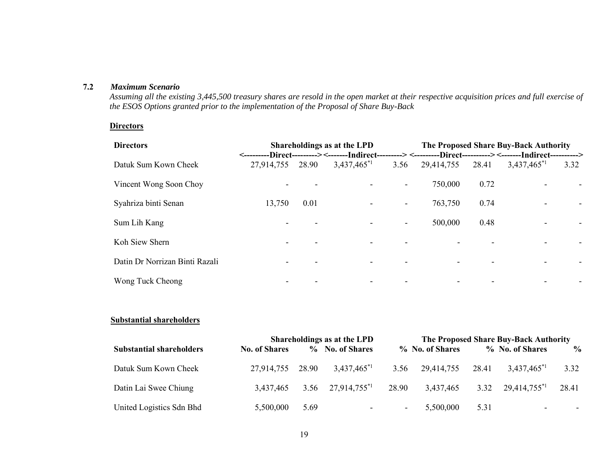# **7.2** *Maximum Scenario*

*Assuming all the existing 3,445,500 treasury shares are resold in the open market at their respective acquisition prices and full exercise of the ESOS Options granted prior to the implementation of the Proposal of Share Buy-Back* 

# **Directors**

| <b>Directors</b>               | Shareholdings as at the LPD |       |                  | The Proposed Share Buy-Back Authority<br><---------Direct---------><-------Indirect---------><---------Direct----------><-------Indirect---------> |            |       |                  |      |  |
|--------------------------------|-----------------------------|-------|------------------|----------------------------------------------------------------------------------------------------------------------------------------------------|------------|-------|------------------|------|--|
| Datuk Sum Kown Cheek           | 27,914,755                  | 28.90 | $3,437,465^{*1}$ | 3.56                                                                                                                                               | 29,414,755 | 28.41 | $3,437,465^{*1}$ | 3.32 |  |
| Vincent Wong Soon Choy         |                             |       |                  |                                                                                                                                                    | 750,000    | 0.72  |                  |      |  |
| Syahriza binti Senan           | 13,750                      | 0.01  |                  | $\overline{\phantom{a}}$                                                                                                                           | 763,750    | 0.74  |                  |      |  |
| Sum Lih Kang                   |                             |       |                  | $\overline{\phantom{a}}$                                                                                                                           | 500,000    | 0.48  |                  |      |  |
| Koh Siew Shern                 |                             |       |                  |                                                                                                                                                    |            |       |                  |      |  |
| Datin Dr Norrizan Binti Razali |                             |       |                  |                                                                                                                                                    |            |       |                  |      |  |
| Wong Tuck Cheong               |                             |       |                  |                                                                                                                                                    |            |       |                  |      |  |

# **Substantial shareholders**

|                                 | Shareholdings as at the LPD | The Proposed Share Buy-Back Authority |                          |                          |                 |       |                          |               |
|---------------------------------|-----------------------------|---------------------------------------|--------------------------|--------------------------|-----------------|-------|--------------------------|---------------|
| <b>Substantial shareholders</b> | <b>No. of Shares</b>        |                                       | % No. of Shares          |                          | % No. of Shares |       | % No. of Shares          | $\frac{6}{9}$ |
| Datuk Sum Kown Cheek            | 27,914,755 28.90            |                                       | $3,437,465^{*1}$         | 3.56                     | 29,414,755      | 28.41 | $3,437,465^{*1}$         | 3.32          |
| Datin Lai Swee Chiung           | 3,437,465                   |                                       | 3.56 $27,914,755^{*1}$   | 28.90                    | 3,437,465       | 3.32  | 29,414,755 <sup>*1</sup> | 28.41         |
| United Logistics Sdn Bhd        | 5,500,000                   | 5.69                                  | $\overline{\phantom{a}}$ | <b>Contract Contract</b> | 5,500,000       | 5.31  | $\overline{\phantom{0}}$ | ۰.            |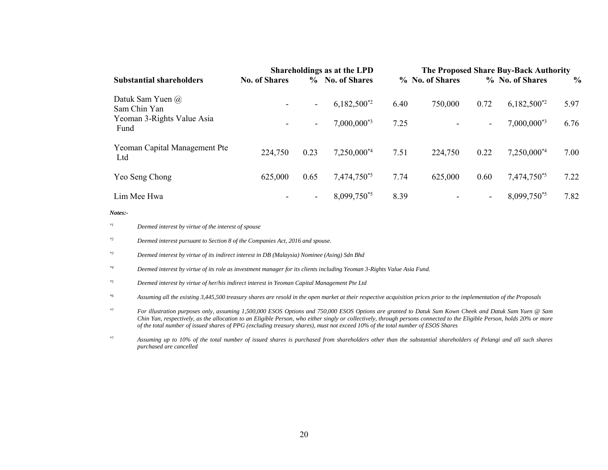|                                      | Shareholdings as at the LPD |                          |                  | The Proposed Share Buy-Back Authority |                 |                          |                  |               |
|--------------------------------------|-----------------------------|--------------------------|------------------|---------------------------------------|-----------------|--------------------------|------------------|---------------|
| <b>Substantial shareholders</b>      | <b>No. of Shares</b>        |                          | % No. of Shares  |                                       | % No. of Shares |                          | % No. of Shares  | $\frac{0}{0}$ |
| Datuk Sam Yuen @<br>Sam Chin Yan     |                             | $\overline{\phantom{a}}$ | $6,182,500^{*2}$ | 6.40                                  | 750,000         | 0.72                     | $6,182,500^{*2}$ | 5.97          |
| Yeoman 3-Rights Value Asia<br>Fund   |                             | $\blacksquare$           | $7,000,000^{*3}$ | 7.25                                  |                 | $\overline{\phantom{0}}$ | $7,000,000^{*3}$ | 6.76          |
| Yeoman Capital Management Pte<br>Ltd | 224,750                     | 0.23                     | $7,250,000^{*4}$ | 7.51                                  | 224,750         | 0.22                     | $7,250,000^{*4}$ | 7.00          |
| Yeo Seng Chong                       | 625,000                     | 0.65                     | 7,474,750*5      | 7.74                                  | 625,000         | 0.60                     | 7,474,750*5      | 7.22          |
| Lim Mee Hwa                          |                             | $\overline{\phantom{a}}$ | 8,099,750*5      | 8.39                                  |                 | $\overline{\phantom{0}}$ | $8,099,750^{*5}$ | 7.82          |

*Notes:-* 

*\*2 Deemed interest pursuant to Section 8 of the Companies Act, 2016 and spouse.* 

*\*3 Deemed interest by virtue of its indirect interest in DB (Malaysia) Nominee (Asing) Sdn Bhd* 

- *\*4 Deemed interest by virtue of its role as investment manager for its clients including Yeoman 3-Rights Value Asia Fund.*
- *\*5 Deemed interest by virtue of her/his indirect interest in Yeoman Capital Management Pte Ltd*

*\*6 Assuming all the existing 3,445,500 treasury shares are resold in the open market at their respective acquisition prices prior to the implementation of the Proposals* 

*\*7 For illustration purposes only, assuming 1,500,000 ESOS Options and 750,000 ESOS Options are granted to Datuk Sum Kown Cheek and Datuk Sam Yuen @ Sam Chin Yan, respectively, as the allocation to an Eligible Person, who either singly or collectively, through persons connected to the Eligible Person, holds 20% or more of the total number of issued shares of PPG (excluding treasury shares), must not exceed 10% of the total number of ESOS Shares* 

*\*7 Assuming up to 10% of the total number of issued shares is purchased from shareholders other than the substantial shareholders of Pelangi and all such shares purchased are cancelled* 

*<sup>\*1</sup> Deemed interest by virtue of the interest of spouse*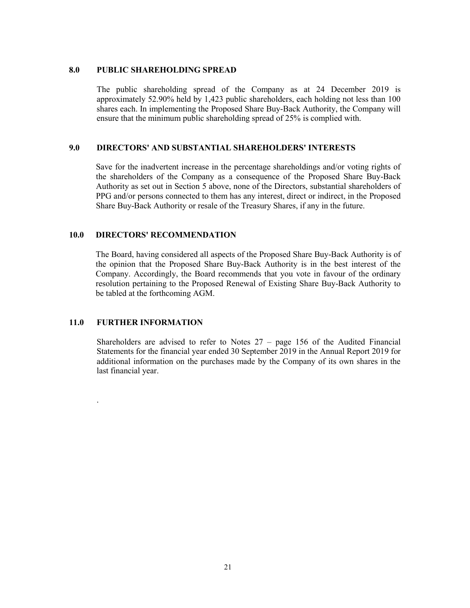## **8.0 PUBLIC SHAREHOLDING SPREAD**

The public shareholding spread of the Company as at 24 December 2019 is approximately 52.90% held by 1,423 public shareholders, each holding not less than 100 shares each. In implementing the Proposed Share Buy-Back Authority, the Company will ensure that the minimum public shareholding spread of 25% is complied with.

## **9.0 DIRECTORS' AND SUBSTANTIAL SHAREHOLDERS' INTERESTS**

Save for the inadvertent increase in the percentage shareholdings and/or voting rights of the shareholders of the Company as a consequence of the Proposed Share Buy-Back Authority as set out in Section 5 above, none of the Directors, substantial shareholders of PPG and/or persons connected to them has any interest, direct or indirect, in the Proposed Share Buy-Back Authority or resale of the Treasury Shares, if any in the future.

### **10.0 DIRECTORS' RECOMMENDATION**

The Board, having considered all aspects of the Proposed Share Buy-Back Authority is of the opinion that the Proposed Share Buy-Back Authority is in the best interest of the Company. Accordingly, the Board recommends that you vote in favour of the ordinary resolution pertaining to the Proposed Renewal of Existing Share Buy-Back Authority to be tabled at the forthcoming AGM.

## **11.0 FURTHER INFORMATION**

.

Shareholders are advised to refer to Notes  $27 - page 156$  of the Audited Financial Statements for the financial year ended 30 September 2019 in the Annual Report 2019 for additional information on the purchases made by the Company of its own shares in the last financial year.